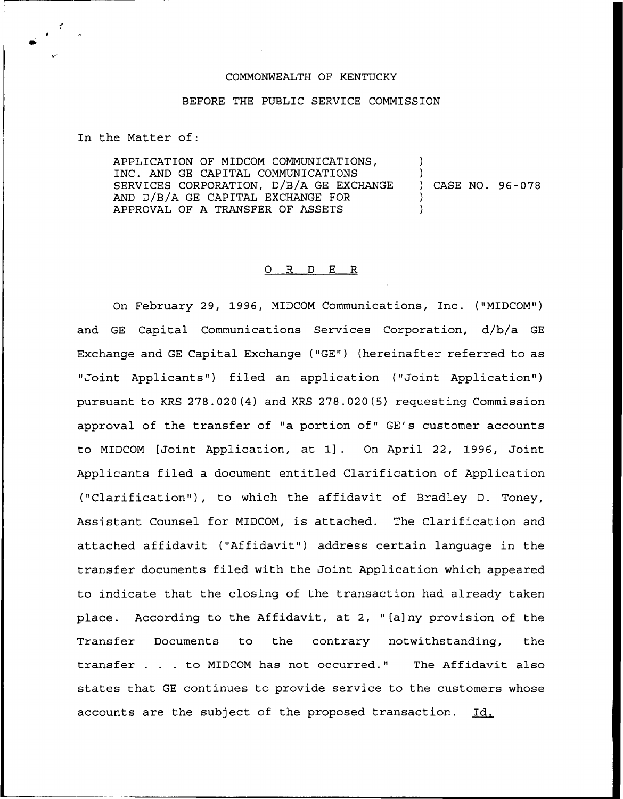## COMMONWEALTH OF KENTUCKY

## BEFORE THE PUBLIC SERVICE COMMISSION

In the Matter of:

APPLICATION OF MIDCOM COMMUNICATIONS, INC. AND GE CAPITAL COMMUNICATIONS SERVICES CORPORATION, D/B/A GE EXCHANGE AND D/B/A GE CAPITAL EXCHANGE FOR APPROVAL OF A TRANSFER OF ASSETS ) ) ) CASE NO. 96-078 )  $\lambda$ 

## O R D E R

On February 29, 1996, MIDCOM Communications, Inc. {"MIDCOM") and GE Capital Communications Services Corporation, d/b/a GE Exchange and GE Capital Exchange ("GE") (hereinafter referred to as "Joint Applicants") filed an application ("Joint Application") pursuant to KRS 278.020(4) and KRS 278.020(5) requesting Commission approval of the transfer of "a portion of" GE's customer accounts to MIDCOM [Joint Application, at 1] . On April 22, 1996, Joint Applicants filed a document entitled Clarification of Application ("Clarification" ), to which the affidavit of Bradley D. Toney, Assistant Counsel for MIDCOM, is attached. The Clarification and attached affidavit ("Affidavit") address certain language in the transfer documents filed with the Joint Application which appeared to indicate that the closing of the transaction had already taken place. According to the Affidavit, at 2, "[a]ny provision of the Transfer Documents to the contrary notwithstanding, the transfer . . . to MIDCOM has not occurred." The Affidavit also states that GE continues to provide service to the customers whose accounts are the subject of the proposed transaction. Id.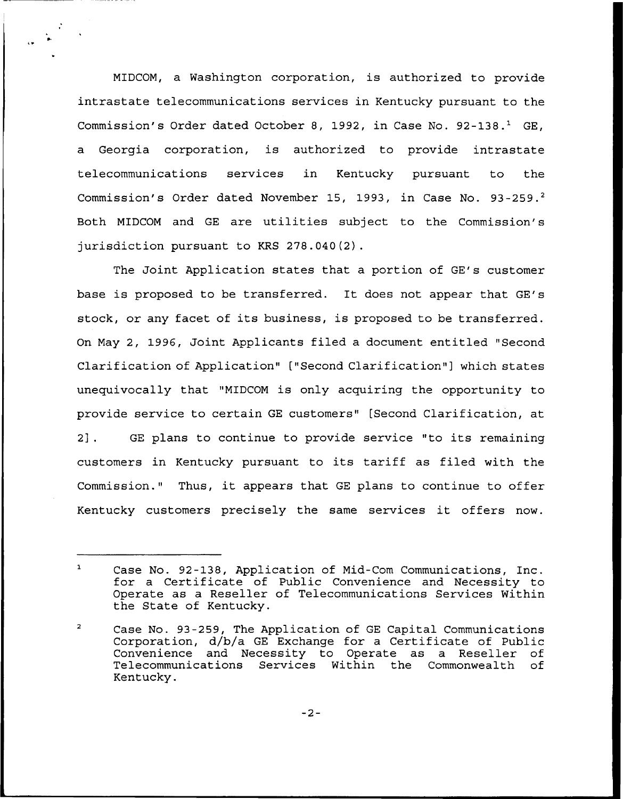MIDCOM, a Washington corporation, is authorized to provide intrastate telecommunications services in Kentucky pursuant to the Commission's Order dated October 8, 1992, in Case No. 92-138.<sup>1</sup> GE, a Georgia corporation, is authorized to provide intrastate telecommunications services in Kentucky pursuant to the Commission's Order dated November 15, 1993, in Case No. 93-259.<sup>2</sup> Both MIDCOM and GE are utilities subject to the Commission's jurisdiction pursuant to KRS 278.040(2).

The Joint Application states that a portion of GE's customer base is proposed to be transferred. It does not appear that GE's stock, or any facet of its business, is proposed to be transferred. On May 2, 1996, Joint Applicants filed a document entitled "Second Clarification of Application" ["Second Clarification"] which states unequivocally that "MIDCOM is only acquiring the opportunity to provide service to certain GE customers" [Second Clarification, at 2j. GE plans to continue to provide service "to its remaining customers in Kentucky pursuant to its tariff as filed with the Commission." Thus, it appears that GE plans to continue to offer Kentucky customers precisely the same services it offers now.

 $\mathbf{1}$ Case No. 92-138, Application of Mid-Com Communications, Inc. for a Certificate of Public Convenience and Necessity to Operate as a Reseller of Telecommunications Services Within the State of Kentucky.

 $\overline{2}$ Case No. 93-259, The Application of GE Capital Communications Corporation, d/b/a GE Exchange for a Certificate of Public Convenience and Necessity to Operate as a Reseller of Telecommunications Services Within the Commonwealth Kentucky.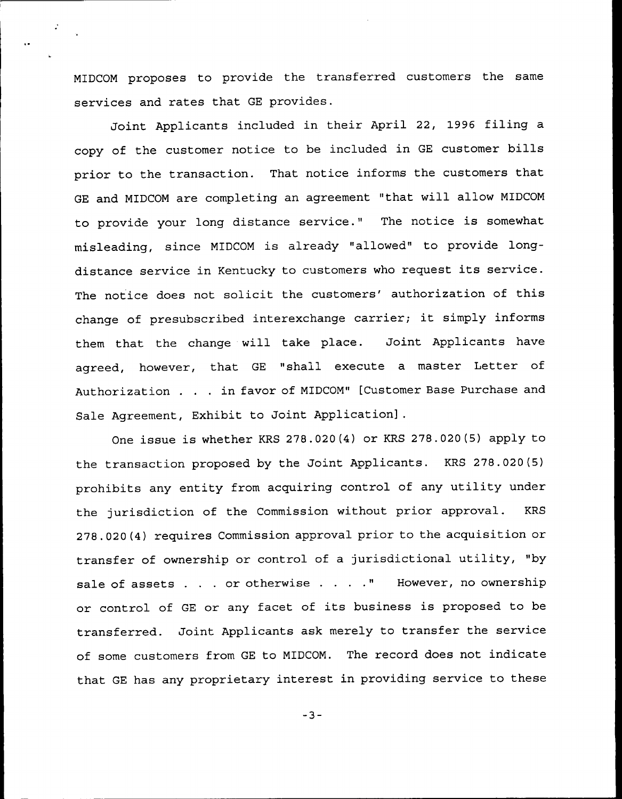MIDCOM proposes to provide the transferred customers the same services and rates that GE provides.

Joint Applicants included in their April 22, 1996 filing a copy of the customer notice to be included in GE customer bills prior to the transaction. That notice informs the customers that GE and MIDCOM are completing an agreement "that will allow MIDCOM to provide your long distance service." The notice is somewhat misleading, since MIDCOM is already "allowed" to provide longdistance service in Kentucky to customers who request its service. The notice does not solicit the customers' authorization of this change of presubscribed interexchange carrier; it simply informs them that the change will take place. Joint Applicants have agreed, however, that GE "shall execute a master Letter of Authorization . . . in favor of MIDCOM" [Customer Base Purchase and Sale Agreement, Exhibit to Joint Application].

One issue is whether KRS 278.020(4) or KRS 278.020(5) apply to the transaction proposed by the Joint Applicants. KRS 278.020(5) prohibits any entity from acquiring control of any utility under the jurisdiction of the Commission without prior approval. KRS 278.020(4) requires Commission approval prior to the acquisition or transfer of ownership or control of a jurisdictional utility, "by sale of assets . . . or otherwise . . . . " However, no ownership or control of GE or any facet of its business is proposed to be transferred. Joint Applicants ask merely to transfer the service of some customers from GE to NIDCON. The record does not indicate that GE has any proprietary interest in providing service to these

 $-3-$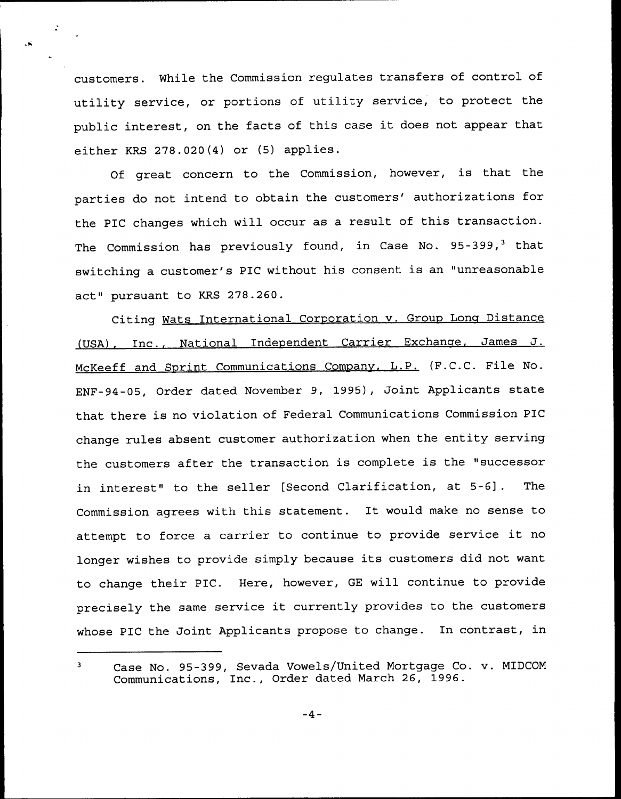customers. While the Commission regulates transfers of control of utility service, or portions of utility service, to protect the public interest, on the facts of this case it does not appear that either KRS 278.020(4) or (5) applies.

 $\mathbf{r}$ 

Of great concern to the Commission, however, is that the parties do not intend to obtain the customers' authorizations for the PIC changes which will occur as a result of this transaction. The Commission has previously found, in Case No.  $95-399,^3$  that switching a customer's PIC without his consent is an "unreasonable act" pursuant to KRS 278.260.

Citing Wats International Corporation v. Group Long Distance (USA), Inc., National Independent Carrier Exchange, James J. McKeeff and Sprint Communications Company, L.P. (F.C.C. File No. ENF-94-05, Order dated November 9, 1995), Joint Applicants state that there is no violation of Federal Communications Commission PIC change rules absent customer authorization when the entity serving the customers after the transaction is complete is the "successor in interest" to the seller [Second Clarification, at 5-6] . The Commission agrees with this statement. It would make no sense to attempt to force <sup>a</sup> carrier to continue to provide service it no longer wishes to provide simply because its customers did not want to change their PIC. Here, however, GE will continue to provide precisely the same service it currently provides to the customers whose PIC the Joint Applicants propose to change. In contrast, in

 $\overline{\mathbf{3}}$ Case No. 95-399, Sevada Vowels/United Mortgage Co. v. MIDCOM Communications, Inc., Order dated March 26, 1996.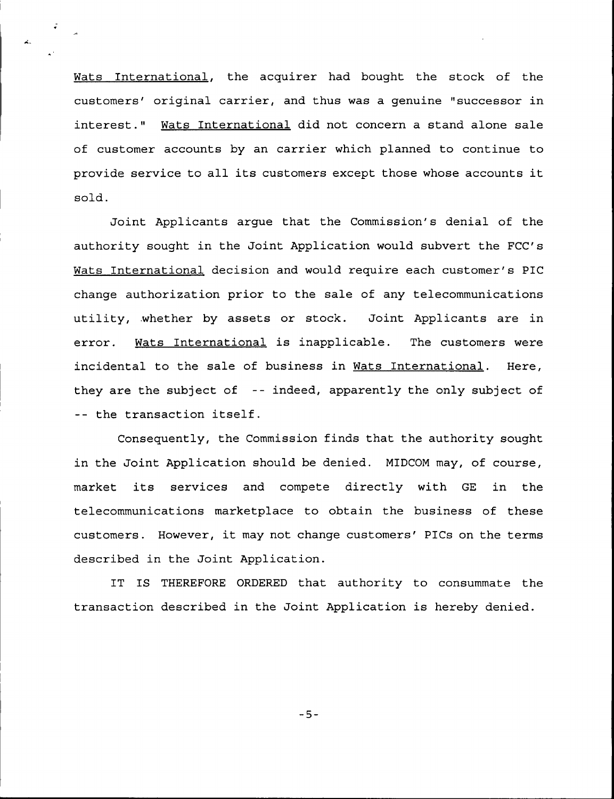Wats International, the acquirer had bought the stock of the customers' original carrier, and thus was a genuine "successor in interest." Wats International did not concern a stand alone sale of customer accounts by an carrier which planned to continue to provide service to all its customers except those whose accounts it sold.

Joint Applicants argue that the Commission's denial of the authority sought in the Joint Application would subvert the FCC's Wats International decision and would require each customer's PIC change authorization prior to the sale of any telecommunications utility, whether by assets or stock. Joint Applicants are in error. Wats International is inapplicable. The customers were incidental to the sale of business in Wats International. Here, they are the subject of -- indeed, apparently the only subject of -- the transaction itself.

Consequently, the Commission finds that the authority sought in the Joint Application should be denied. MIDCOM may, of course, market its services and compete directly with GE in the telecommunications marketplace to obtain the business of these customers. However, it may not change customers' PICs on the terms described in the Joint Application.

IT IS THEREFORE ORDERED that authority to consummate the transaction described in the Joint Application is hereby denied.

 $-5-$